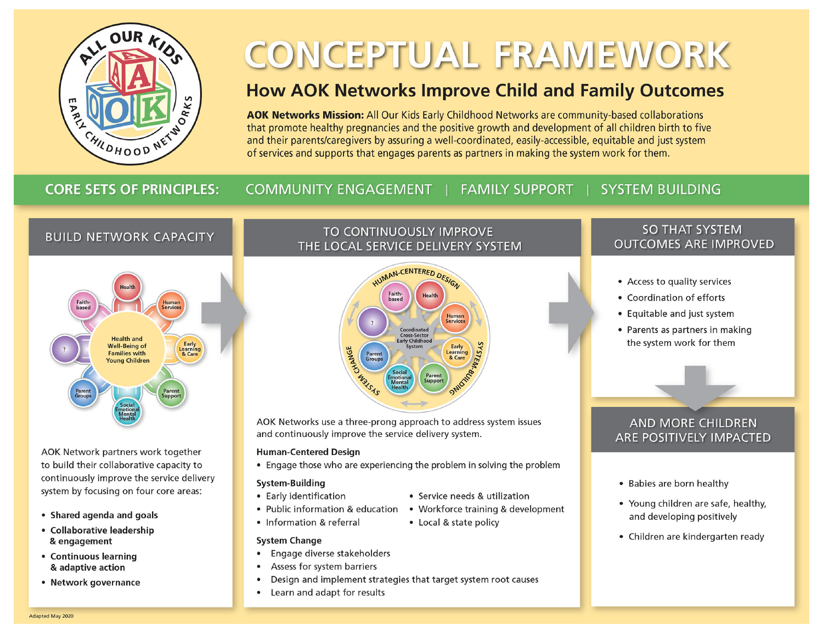

# **CONCEPTUAL FRAMEWORK**

## **How AOK Networks Improve Child and Family Outcomes**

AOK Networks Mission: All Our Kids Early Childhood Networks are community-based collaborations that promote healthy pregnancies and the positive growth and development of all children birth to five and their parents/caregivers by assuring a well-coordinated, easily-accessible, equitable and just system of services and supports that engages parents as partners in making the system work for them.

## **CORE SETS OF PRINCIPLES:**

## COMMUNITY ENGAGEMENT | FAMILY SUPPORT

## **SYSTEM BUILDING**

## **BUILD NETWORK CAPACITY**



AOK Network partners work together to build their collaborative capacity to continuously improve the service delivery system by focusing on four core areas:

- Shared agenda and goals
- Collaborative leadership & engagement
- Continuous learning & adaptive action
- Network governance

## TO CONTINUOUSLY IMPROVE THE LOCAL SERVICE DELIVERY SYSTEM



AOK Networks use a three-prong approach to address system issues and continuously improve the service delivery system.

#### **Human-Centered Design**

• Engage those who are experiencing the problem in solving the problem

#### System-Building

- Early identification
- Public information & education Workforce training & development
- Information & referral
- Local & state policy

• Service needs & utilization

#### **System Change**

- Engage diverse stakeholders  $\bullet$
- Assess for system barriers  $\bullet$
- $\bullet$ Design and implement strategies that target system root causes
- Learn and adapt for results  $\bullet$

## **SO THAT SYSTEM OUTCOMES ARE IMPROVED**

- Access to quality services
- Coordination of efforts
- Equitable and just system
- Parents as partners in making the system work for them

## **AND MORE CHILDREN** ARE POSITIVELY IMPACTED

- Babies are born healthy
- Young children are safe, healthy, and developing positively
- Children are kindergarten ready

Adapted May 2020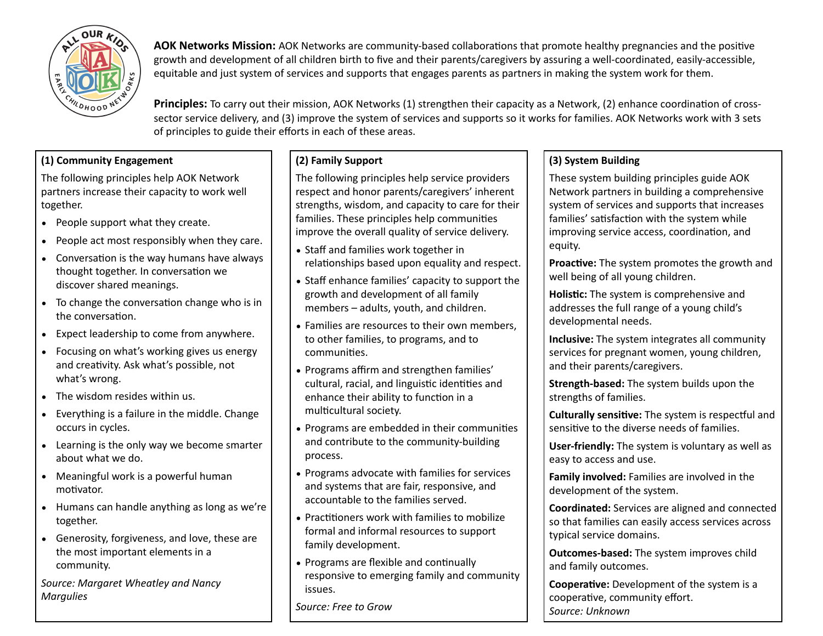

**AOK Networks Mission:** AOK Networks are community-based collaborations that promote healthy pregnancies and the positive growth and development of all children birth to five and their parents/caregivers by assuring a well-coordinated, easily-accessible, equitable and just system of services and supports that engages parents as partners in making the system work for them.

**Principles:** To carry out their mission, AOK Networks (1) strengthen their capacity as a Network, (2) enhance coordination of crosssector service delivery, and (3) improve the system of services and supports so it works for families. AOK Networks work with 3 sets of principles to guide their efforts in each of these areas.

## **(1) Community Engagement**

The following principles help AOK Network partners increase their capacity to work well together.

- People support what they create.
- People act most responsibly when they care.
- Conversation is the way humans have always thought together. In conversation we discover shared meanings.
- To change the conversation change who is in the conversation.
- Expect leadership to come from anywhere.
- Focusing on what's working gives us energy and creativity. Ask what's possible, not what's wrong.
- The wisdom resides within us.
- Everything is a failure in the middle. Change occurs in cycles.
- Learning is the only way we become smarter about what we do.
- Meaningful work is a powerful human motivator.
- Humans can handle anything as long as we're together.
- Generosity, forgiveness, and love, these are the most important elements in a community.

*Source: Margaret Wheatley and Nancy Margulies*

## **(2) Family Support**

The following principles help service providers respect and honor parents/caregivers' inherent strengths, wisdom, and capacity to care for their families. These principles help communities improve the overall quality of service delivery.

- Staff and families work together in relationships based upon equality and respect.
- Staff enhance families' capacity to support the growth and development of all family members – adults, youth, and children.
- Families are resources to their own members, to other families, to programs, and to communities.
- Programs affirm and strengthen families' cultural, racial, and linguistic identities and enhance their ability to function in a multicultural society.
- Programs are embedded in their communities and contribute to the community-building process.
- Programs advocate with families for services and systems that are fair, responsive, and accountable to the families served.
- Practitioners work with families to mobilize formal and informal resources to support family development.
- Programs are flexible and continually responsive to emerging family and community issues.

*Source: Free to Grow* 

## **(3) System Building**

These system building principles guide AOK Network partners in building a comprehensive system of services and supports that increases families' satisfaction with the system while improving service access, coordination, and equity.

**Proactive:** The system promotes the growth and well being of all young children.

Holistic: The system is comprehensive and addresses the full range of a young child's developmental needs.

**Inclusive:** The system integrates all community services for pregnant women, young children, and their parents/caregivers.

**Strength-based:** The system builds upon the strengths of families.

**Culturally sensitive:** The system is respectful and sensitive to the diverse needs of families.

**User-friendly:** The system is voluntary as well as easy to access and use.

**Family involved:** Families are involved in the development of the system.

**Coordinated:** Services are aligned and connected so that families can easily access services across typical service domains.

**Outcomes-based:** The system improves child and family outcomes.

**Cooperative:** Development of the system is a cooperative, community effort. *Source: Unknown*